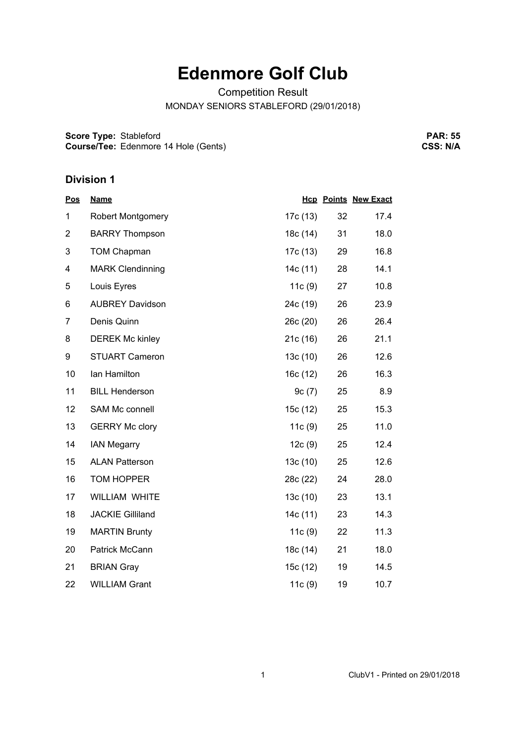## **Edenmore Golf Club**

Competition Result

MONDAY SENIORS STABLEFORD (29/01/2018)

**Score Type: Course/Tee:** Stableford Edenmore 14 Hole (Gents)

**PAR: 55 CSS: N/A**

## **Division 1**

| <b>Pos</b>     | <b>Name</b>             |          |    | <b>Hcp Points New Exact</b> |
|----------------|-------------------------|----------|----|-----------------------------|
| 1              | Robert Montgomery       | 17c (13) | 32 | 17.4                        |
| $\overline{2}$ | <b>BARRY Thompson</b>   | 18c (14) | 31 | 18.0                        |
| 3              | <b>TOM Chapman</b>      | 17c (13) | 29 | 16.8                        |
| 4              | <b>MARK Clendinning</b> | 14c(11)  | 28 | 14.1                        |
| 5              | Louis Eyres             | 11c(9)   | 27 | 10.8                        |
| 6              | <b>AUBREY Davidson</b>  | 24c (19) | 26 | 23.9                        |
| $\overline{7}$ | Denis Quinn             | 26c (20) | 26 | 26.4                        |
| 8              | <b>DEREK Mc kinley</b>  | 21c(16)  | 26 | 21.1                        |
| 9              | <b>STUART Cameron</b>   | 13c(10)  | 26 | 12.6                        |
| 10             | lan Hamilton            | 16c(12)  | 26 | 16.3                        |
| 11             | <b>BILL Henderson</b>   | 9c(7)    | 25 | 8.9                         |
| 12             | SAM Mc connell          | 15c (12) | 25 | 15.3                        |
| 13             | <b>GERRY Mc clory</b>   | 11c(9)   | 25 | 11.0                        |
| 14             | <b>IAN Megarry</b>      | 12c(9)   | 25 | 12.4                        |
| 15             | <b>ALAN Patterson</b>   | 13c(10)  | 25 | 12.6                        |
| 16             | <b>TOM HOPPER</b>       | 28c (22) | 24 | 28.0                        |
| 17             | <b>WILLIAM WHITE</b>    | 13c(10)  | 23 | 13.1                        |
| 18             | <b>JACKIE Gilliland</b> | 14c(11)  | 23 | 14.3                        |
| 19             | <b>MARTIN Brunty</b>    | 11c(9)   | 22 | 11.3                        |
| 20             | Patrick McCann          | 18c (14) | 21 | 18.0                        |
| 21             | <b>BRIAN Gray</b>       | 15c (12) | 19 | 14.5                        |
| 22             | <b>WILLIAM Grant</b>    | 11c (9)  | 19 | 10.7                        |